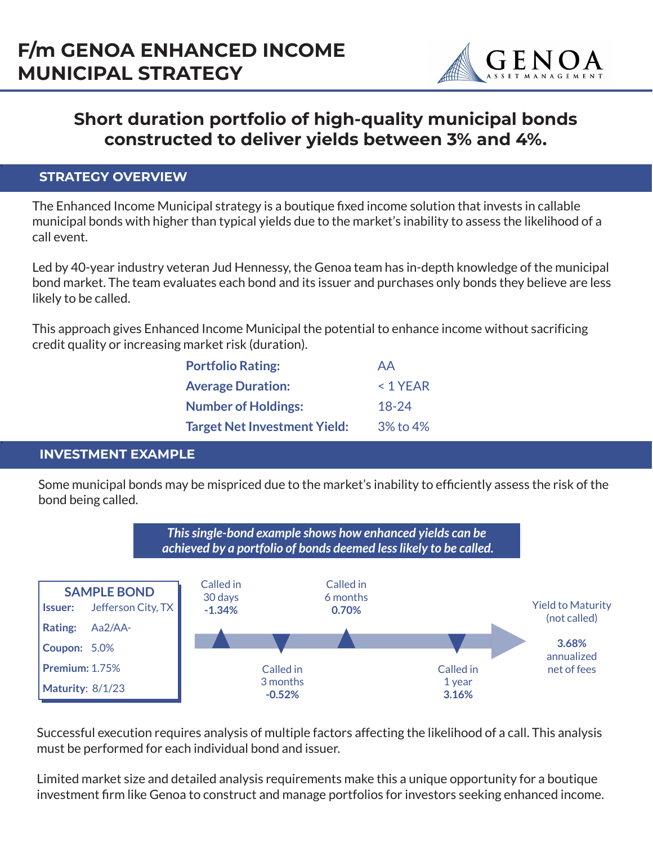

# **Short duration portfolio of high-quality municipal bonds constructed to deliver yields between 3% and 4%.**

## ` **STRATEGY OVERVIEW**

The Enhanced Income Municipal strategy is a boutique fixed income solution that invests in callable municipal bonds with higher than typical yields due to the market's inability to assess the likelihood of a call event.

Led by 40-year industry veteran Jud Hennessy, the Genoa team has in-depth knowledge of the municipal bond market. The team evaluates each bond and its issuer and purchases only bonds they believe are less likely to be called.

This approach gives Enhanced Income Municipal the potential to enhance income without sacrificing credit quality or increasing market risk (duration).

| <b>Portfolio Rating:</b>            | AA         |
|-------------------------------------|------------|
| <b>Average Duration:</b>            | $< 1$ YEAR |
| <b>Number of Holdings:</b>          | $18 - 24$  |
| <b>Target Net Investment Yield:</b> | 3% to 4%   |

## ` **INVESTMENT EXAMPLE**

Some municipal bonds may be mispriced due to the market's inability to efficiently assess the risk of the bond being called.



Successful execution requires analysis of multiple factors affecting the likelihood of a call. This analysis must be performed for each individual bond and issuer.

Limited market size and detailed analysis requirements make this a unique opportunity for a boutique investment firm like Genoa to construct and manage portfolios for investors seeking enhanced income.